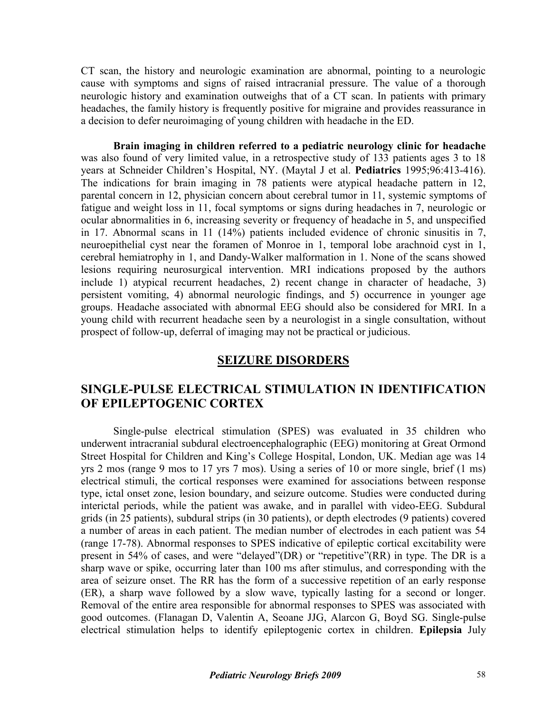CT scan, the history and neurologic examination are abnormal, pointing to a neurologic cause with symptoms and signs of raised intracranial pressure. The value of a thorough neurologic history and examination outweighs that of a CT scan. In patients with primary headaches, the family history is frequently positive for migraine and provides reassurance in a decision to defer neuroimaging of young children with headache in the ED.

**Brain imaging in children referred to a pediatric neurology clinic for headache**  was also found of very limited value, in a retrospective study of 133 patients ages 3 to 18 years at Schneider Children's Hospital, NY. (Maytal J et al. **Pediatrics** 1995;96:413-416). The indications for brain imaging in 78 patients were atypical headache pattern in 12, parental concern in 12, physician concern about cerebral tumor in 11, systemic symptoms of fatigue and weight loss in 11, focal symptoms or signs during headaches in 7, neurologic or ocular abnormalities in 6, increasing severity or frequency of headache in 5, and unspecified in 17. Abnormal scans in 11 (14%) patients included evidence of chronic sinusitis in 7, neuroepithelial cyst near the foramen of Monroe in 1, temporal lobe arachnoid cyst in 1, cerebral hemiatrophy in 1, and Dandy-Walker malformation in 1. None of the scans showed lesions requiring neurosurgical intervention. MRI indications proposed by the authors include 1) atypical recurrent headaches, 2) recent change in character of headache, 3) persistent vomiting, 4) abnormal neurologic findings, and 5) occurrence in younger age groups. Headache associated with abnormal EEG should also be considered for MRI. In a young child with recurrent headache seen by a neurologist in a single consultation, without prospect of follow-up, deferral of imaging may not be practical or judicious.

## **SEIZURE DISORDERS**

## **SINGLE-PULSE ELECTRICAL STIMULATION IN IDENTIFICATION OF EPILEPTOGENIC CORTEX**

Single-pulse electrical stimulation (SPES) was evaluated in 35 children who underwent intracranial subdural electroencephalographic (EEG) monitoring at Great Ormond Street Hospital for Children and King's College Hospital, London, UK. Median age was 14 yrs 2 mos (range 9 mos to 17 yrs 7 mos). Using a series of 10 or more single, brief (1 ms) electrical stimuli, the cortical responses were examined for associations between response type, ictal onset zone, lesion boundary, and seizure outcome. Studies were conducted during interictal periods, while the patient was awake, and in parallel with video-EEG. Subdural grids (in 25 patients), subdural strips (in 30 patients), or depth electrodes (9 patients) covered a number of areas in each patient. The median number of electrodes in each patient was 54 (range 17-78). Abnormal responses to SPES indicative of epileptic cortical excitability were present in 54% of cases, and were "delayed"(DR) or "repetitive"(RR) in type. The DR is a sharp wave or spike, occurring later than 100 ms after stimulus, and corresponding with the area of seizure onset. The RR has the form of a successive repetition of an early response (ER), a sharp wave followed by a slow wave, typically lasting for a second or longer. Removal of the entire area responsible for abnormal responses to SPES was associated with good outcomes. (Flanagan D, Valentin A, Seoane JJG, Alarcon G, Boyd SG. Single-pulse electrical stimulation helps to identify epileptogenic cortex in children. **Epilepsia** July